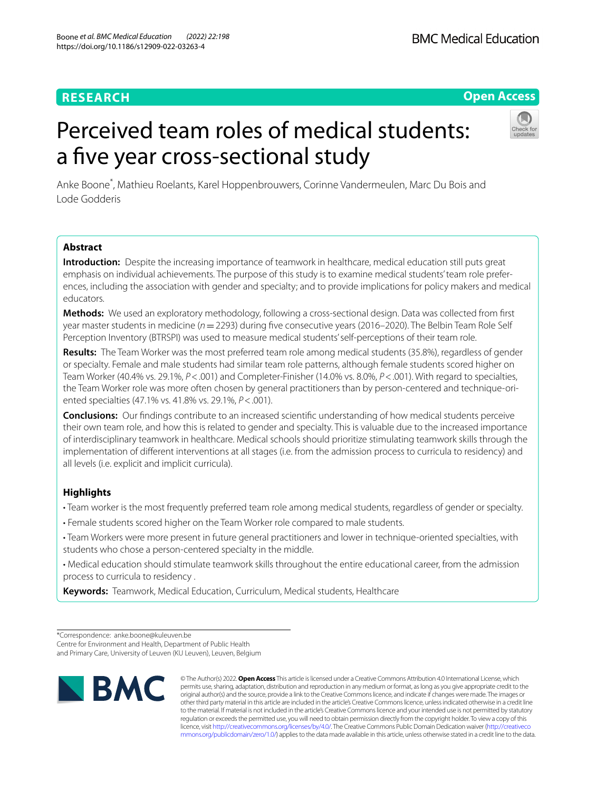## **RESEARCH**

# Perceived team roles of medical students: a five year cross-sectional study

Anke Boone\* , Mathieu Roelants, Karel Hoppenbrouwers, Corinne Vandermeulen, Marc Du Bois and Lode Godderis

### **Abstract**

**Introduction:** Despite the increasing importance of teamwork in healthcare, medical education still puts great emphasis on individual achievements. The purpose of this study is to examine medical students' team role preferences, including the association with gender and specialty; and to provide implications for policy makers and medical educators.

**Methods:** We used an exploratory methodology, following a cross-sectional design. Data was collected from frst year master students in medicine (*n*=2293) during fve consecutive years (2016–2020). The Belbin Team Role Self Perception Inventory (BTRSPI) was used to measure medical students' self-perceptions of their team role.

**Results:** The Team Worker was the most preferred team role among medical students (35.8%), regardless of gender or specialty. Female and male students had similar team role patterns, although female students scored higher on Team Worker (40.4% vs. 29.1%, *P*<.001) and Completer-Finisher (14.0% vs. 8.0%, *P*<.001). With regard to specialties, the Team Worker role was more often chosen by general practitioners than by person-centered and technique-oriented specialties (47.1% vs. 41.8% vs. 29.1%, *P*<.001).

**Conclusions:** Our fndings contribute to an increased scientifc understanding of how medical students perceive their own team role, and how this is related to gender and specialty. This is valuable due to the increased importance of interdisciplinary teamwork in healthcare. Medical schools should prioritize stimulating teamwork skills through the implementation of diferent interventions at all stages (i.e. from the admission process to curricula to residency) and all levels (i.e. explicit and implicit curricula).

## **Highlights**

- Team worker is the most frequently preferred team role among medical students, regardless of gender or specialty.
- Female students scored higher on the Team Worker role compared to male students.
- Team Workers were more present in future general practitioners and lower in technique-oriented specialties, with students who chose a person-centered specialty in the middle.
- Medical education should stimulate teamwork skills throughout the entire educational career, from the admission process to curricula to residency .

**Keywords:** Teamwork, Medical Education, Curriculum, Medical students, Healthcare

and Primary Care, University of Leuven (KU Leuven), Leuven, Belgium



© The Author(s) 2022. **Open Access** This article is licensed under a Creative Commons Attribution 4.0 International License, which permits use, sharing, adaptation, distribution and reproduction in any medium or format, as long as you give appropriate credit to the original author(s) and the source, provide a link to the Creative Commons licence, and indicate if changes were made. The images or other third party material in this article are included in the article's Creative Commons licence, unless indicated otherwise in a credit line to the material. If material is not included in the article's Creative Commons licence and your intended use is not permitted by statutory regulation or exceeds the permitted use, you will need to obtain permission directly from the copyright holder. To view a copy of this licence, visit [http://creativecommons.org/licenses/by/4.0/.](http://creativecommons.org/licenses/by/4.0/) The Creative Commons Public Domain Dedication waiver ([http://creativeco](http://creativecommons.org/publicdomain/zero/1.0/) [mmons.org/publicdomain/zero/1.0/](http://creativecommons.org/publicdomain/zero/1.0/)) applies to the data made available in this article, unless otherwise stated in a credit line to the data.



**Open Access**

<sup>\*</sup>Correspondence: anke.boone@kuleuven.be Centre for Environment and Health, Department of Public Health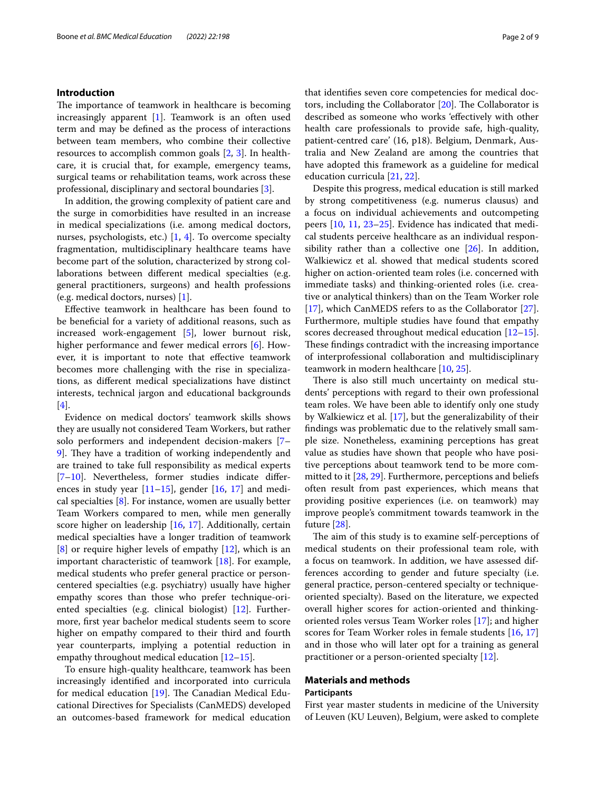#### **Introduction**

The importance of teamwork in healthcare is becoming increasingly apparent [\[1](#page-7-0)]. Teamwork is an often used term and may be defned as the process of interactions between team members, who combine their collective resources to accomplish common goals [[2,](#page-7-1) [3](#page-7-2)]. In healthcare, it is crucial that, for example, emergency teams, surgical teams or rehabilitation teams, work across these professional, disciplinary and sectoral boundaries [[3\]](#page-7-2).

In addition, the growing complexity of patient care and the surge in comorbidities have resulted in an increase in medical specializations (i.e. among medical doctors, nurses, psychologists, etc.) [[1,](#page-7-0) [4](#page-7-3)]. To overcome specialty fragmentation, multidisciplinary healthcare teams have become part of the solution, characterized by strong collaborations between diferent medical specialties (e.g. general practitioners, surgeons) and health professions (e.g. medical doctors, nurses) [\[1](#page-7-0)].

Efective teamwork in healthcare has been found to be benefcial for a variety of additional reasons, such as increased work-engagement [\[5\]](#page-7-4), lower burnout risk, higher performance and fewer medical errors [[6\]](#page-7-5). However, it is important to note that efective teamwork becomes more challenging with the rise in specializations, as diferent medical specializations have distinct interests, technical jargon and educational backgrounds  $[4]$  $[4]$ .

Evidence on medical doctors' teamwork skills shows they are usually not considered Team Workers, but rather solo performers and independent decision-makers [[7–](#page-7-6) 9. They have a tradition of working independently and are trained to take full responsibility as medical experts [[7–](#page-7-6)[10\]](#page-7-8). Nevertheless, former studies indicate diferences in study year  $[11–15]$  $[11–15]$  $[11–15]$  $[11–15]$ , gender  $[16, 17]$  $[16, 17]$  $[16, 17]$  $[16, 17]$  $[16, 17]$  and medical specialties [[8\]](#page-7-13). For instance, women are usually better Team Workers compared to men, while men generally score higher on leadership [[16,](#page-7-11) [17](#page-7-12)]. Additionally, certain medical specialties have a longer tradition of teamwork [[8\]](#page-7-13) or require higher levels of empathy [\[12](#page-7-14)], which is an important characteristic of teamwork [[18\]](#page-7-15). For example, medical students who prefer general practice or personcentered specialties (e.g. psychiatry) usually have higher empathy scores than those who prefer technique-oriented specialties (e.g. clinical biologist) [[12\]](#page-7-14). Furthermore, frst year bachelor medical students seem to score higher on empathy compared to their third and fourth year counterparts, implying a potential reduction in empathy throughout medical education [[12–](#page-7-14)[15](#page-7-10)].

To ensure high-quality healthcare, teamwork has been increasingly identifed and incorporated into curricula for medical education  $[19]$  $[19]$  $[19]$ . The Canadian Medical Educational Directives for Specialists (CanMEDS) developed an outcomes-based framework for medical education that identifes seven core competencies for medical doctors, including the Collaborator  $[20]$ . The Collaborator is described as someone who works 'efectively with other health care professionals to provide safe, high-quality, patient-centred care' (16, p18). Belgium, Denmark, Australia and New Zealand are among the countries that have adopted this framework as a guideline for medical education curricula [\[21,](#page-7-18) [22](#page-7-19)].

Despite this progress, medical education is still marked by strong competitiveness (e.g. numerus clausus) and a focus on individual achievements and outcompeting peers [[10,](#page-7-8) [11,](#page-7-9) [23](#page-7-20)[–25\]](#page-7-21). Evidence has indicated that medical students perceive healthcare as an individual responsibility rather than a collective one [[26\]](#page-7-22). In addition, Walkiewicz et al. showed that medical students scored higher on action-oriented team roles (i.e. concerned with immediate tasks) and thinking-oriented roles (i.e. creative or analytical thinkers) than on the Team Worker role [[17\]](#page-7-12), which CanMEDS refers to as the Collaborator [\[27](#page-7-23)]. Furthermore, multiple studies have found that empathy scores decreased throughout medical education [[12](#page-7-14)[–15](#page-7-10)]. These findings contradict with the increasing importance of interprofessional collaboration and multidisciplinary teamwork in modern healthcare [\[10](#page-7-8), [25\]](#page-7-21).

There is also still much uncertainty on medical students' perceptions with regard to their own professional team roles. We have been able to identify only one study by Walkiewicz et al. [[17\]](#page-7-12), but the generalizability of their fndings was problematic due to the relatively small sample size. Nonetheless, examining perceptions has great value as studies have shown that people who have positive perceptions about teamwork tend to be more committed to it [\[28,](#page-8-0) [29](#page-8-1)]. Furthermore, perceptions and beliefs often result from past experiences, which means that providing positive experiences (i.e. on teamwork) may improve people's commitment towards teamwork in the future [\[28](#page-8-0)].

The aim of this study is to examine self-perceptions of medical students on their professional team role, with a focus on teamwork. In addition, we have assessed differences according to gender and future specialty (i.e. general practice, person-centered specialty or techniqueoriented specialty). Based on the literature, we expected overall higher scores for action-oriented and thinkingoriented roles versus Team Worker roles [[17\]](#page-7-12); and higher scores for Team Worker roles in female students [[16,](#page-7-11) [17](#page-7-12)] and in those who will later opt for a training as general practitioner or a person-oriented specialty [\[12](#page-7-14)].

## **Materials and methods**

#### **Participants**

First year master students in medicine of the University of Leuven (KU Leuven), Belgium, were asked to complete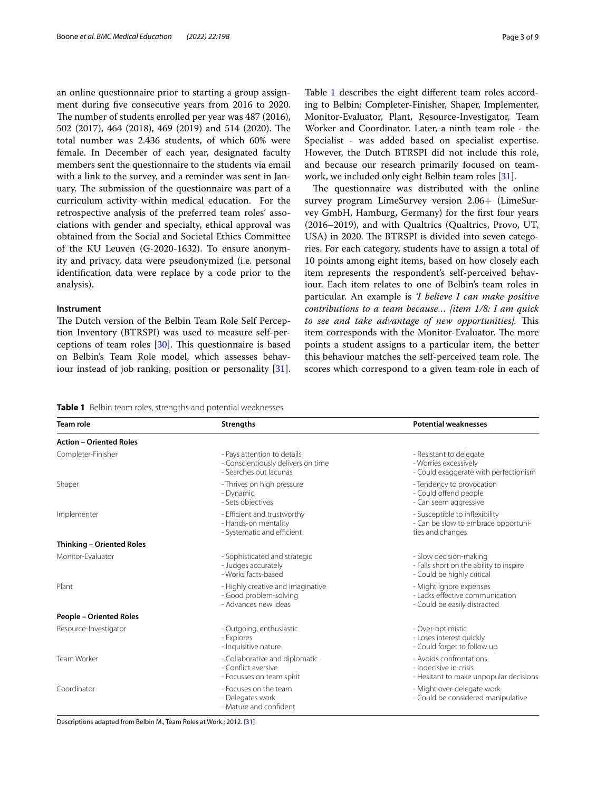an online questionnaire prior to starting a group assignment during fve consecutive years from 2016 to 2020. The number of students enrolled per year was 487 (2016), 502 (2017), 464 (2018), 469 (2019) and 514 (2020). The total number was 2.436 students, of which 60% were female. In December of each year, designated faculty members sent the questionnaire to the students via email with a link to the survey, and a reminder was sent in January. The submission of the questionnaire was part of a curriculum activity within medical education. For the retrospective analysis of the preferred team roles' associations with gender and specialty, ethical approval was obtained from the Social and Societal Ethics Committee of the KU Leuven (G-2020-1632). To ensure anonymity and privacy, data were pseudonymized (i.e. personal identifcation data were replace by a code prior to the analysis).

#### **Instrument**

The Dutch version of the Belbin Team Role Self Perception Inventory (BTRSPI) was used to measure self-perceptions of team roles  $[30]$  $[30]$ . This questionnaire is based on Belbin's Team Role model, which assesses behaviour instead of job ranking, position or personality [\[31](#page-8-3)].

Table [1](#page-2-0) describes the eight different team roles according to Belbin: Completer-Finisher, Shaper, Implementer, Monitor-Evaluator, Plant, Resource-Investigator, Team Worker and Coordinator. Later, a ninth team role - the Specialist - was added based on specialist expertise. However, the Dutch BTRSPI did not include this role, and because our research primarily focused on teamwork, we included only eight Belbin team roles [[31\]](#page-8-3).

The questionnaire was distributed with the online survey program LimeSurvey version 2.06+ (LimeSurvey GmbH, Hamburg, Germany) for the frst four years (2016–2019), and with Qualtrics (Qualtrics, Provo, UT, USA) in 2020. The BTRSPI is divided into seven categories. For each category, students have to assign a total of 10 points among eight items, based on how closely each item represents the respondent's self-perceived behaviour. Each item relates to one of Belbin's team roles in particular. An example is *'I believe I can make positive contributions to a team because… [item 1/8: I am quick to see and take advantage of new opportunities]*. This item corresponds with the Monitor-Evaluator. The more points a student assigns to a particular item, the better this behaviour matches the self-perceived team role. The scores which correspond to a given team role in each of

<span id="page-2-0"></span>

|  |  |  |  |  |  | Table 1 Belbin team roles, strengths and potential weaknesses |
|--|--|--|--|--|--|---------------------------------------------------------------|
|--|--|--|--|--|--|---------------------------------------------------------------|

| Team role                      | <b>Strengths</b>                                                                            | <b>Potential weaknesses</b>                                                                     |
|--------------------------------|---------------------------------------------------------------------------------------------|-------------------------------------------------------------------------------------------------|
| <b>Action - Oriented Roles</b> |                                                                                             |                                                                                                 |
| Completer-Finisher             | - Pays attention to details<br>- Conscientiously delivers on time<br>- Searches out lacunas | - Resistant to delegate<br>- Worries excessively<br>- Could exaggerate with perfectionism       |
| Shaper                         | - Thrives on high pressure<br>- Dynamic<br>- Sets objectives                                | - Tendency to provocation<br>- Could offend people<br>- Can seem aggressive                     |
| Implementer                    | - Efficient and trustworthy<br>- Hands-on mentality<br>- Systematic and efficient           | - Susceptible to inflexibility<br>- Can be slow to embrace opportuni-<br>ties and changes       |
| Thinking - Oriented Roles      |                                                                                             |                                                                                                 |
| Monitor-Evaluator              | - Sophisticated and strategic<br>- Judges accurately<br>- Works facts-based                 | - Slow decision-making<br>- Falls short on the ability to inspire<br>- Could be highly critical |
| Plant                          | - Highly creative and imaginative<br>- Good problem-solving<br>- Advances new ideas         | - Might ignore expenses<br>- Lacks effective communication<br>- Could be easily distracted      |
| <b>People - Oriented Roles</b> |                                                                                             |                                                                                                 |
| Resource-Investigator          | - Outgoing, enthusiastic<br>- Explores<br>- Inquisitive nature                              | - Over-optimistic<br>- Loses interest quickly<br>- Could forget to follow up                    |
| Team Worker                    | - Collaborative and diplomatic<br>- Conflict aversive<br>- Focusses on team spirit          | - Avoids confrontations<br>- Indecisive in crisis<br>- Hesitant to make unpopular decisions     |
| Coordinator                    | - Focuses on the team<br>- Delegates work<br>- Mature and confident                         | - Might over-delegate work<br>- Could be considered manipulative                                |

Descriptions adapted from Belbin M., Team Roles at Work.; 2012. [[31\]](#page-8-3)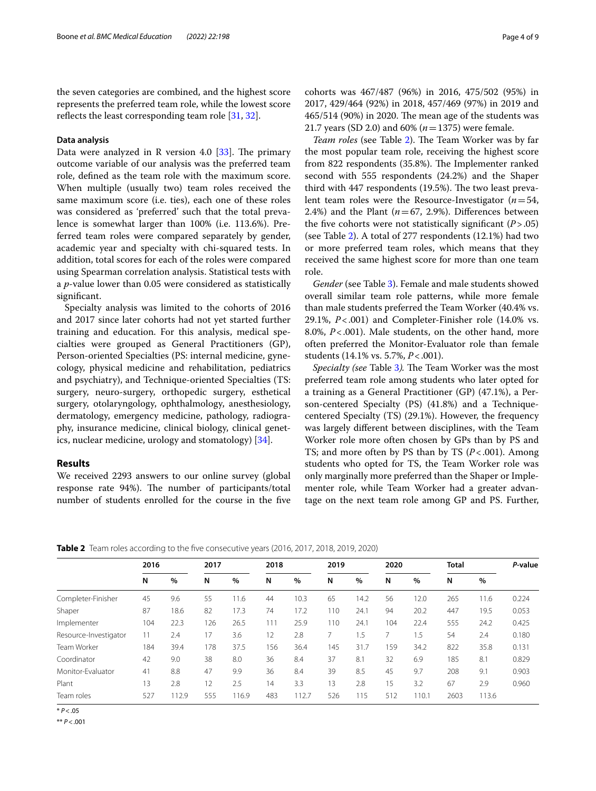the seven categories are combined, and the highest score represents the preferred team role, while the lowest score reflects the least corresponding team role [[31,](#page-8-3) [32](#page-8-4)].

#### **Data analysis**

Data were analyzed in R version 4.0  $[33]$  $[33]$ . The primary outcome variable of our analysis was the preferred team role, defned as the team role with the maximum score. When multiple (usually two) team roles received the same maximum score (i.e. ties), each one of these roles was considered as 'preferred' such that the total prevalence is somewhat larger than 100% (i.e. 113.6%). Preferred team roles were compared separately by gender, academic year and specialty with chi-squared tests. In addition, total scores for each of the roles were compared using Spearman correlation analysis. Statistical tests with a *p*-value lower than 0.05 were considered as statistically significant.

Specialty analysis was limited to the cohorts of 2016 and 2017 since later cohorts had not yet started further training and education. For this analysis, medical specialties were grouped as General Practitioners (GP), Person-oriented Specialties (PS: internal medicine, gynecology, physical medicine and rehabilitation, pediatrics and psychiatry), and Technique-oriented Specialties (TS: surgery, neuro-surgery, orthopedic surgery, esthetical surgery, otolaryngology, ophthalmology, anesthesiology, dermatology, emergency medicine, pathology, radiography, insurance medicine, clinical biology, clinical genetics, nuclear medicine, urology and stomatology) [\[34](#page-8-6)].

#### **Results**

We received 2293 answers to our online survey (global response rate 94%). The number of participants/total number of students enrolled for the course in the fve cohorts was 467/487 (96%) in 2016, 475/502 (95%) in 2017, 429/464 (92%) in 2018, 457/469 (97%) in 2019 and  $465/514$  (90%) in 2020. The mean age of the students was 21.7 years (SD 2.0) and 60% (*n*=1375) were female.

*Team roles* (see Table [2\)](#page-3-0). The Team Worker was by far the most popular team role, receiving the highest score from 822 respondents (35.8%). The Implementer ranked second with 555 respondents (24.2%) and the Shaper third with  $447$  respondents  $(19.5%)$ . The two least prevalent team roles were the Resource-Investigator (*n*=54, 2.4%) and the Plant  $(n=67, 2.9%)$ . Differences between the five cohorts were not statistically significant  $(P > .05)$ (see Table [2](#page-3-0)). A total of 277 respondents (12.1%) had two or more preferred team roles, which means that they received the same highest score for more than one team role.

*Gender* (see Table [3](#page-4-0)). Female and male students showed overall similar team role patterns, while more female than male students preferred the Team Worker (40.4% vs. 29.1%, *P*<.001) and Completer-Finisher role (14.0% vs. 8.0%, *P*<.001). Male students, on the other hand, more often preferred the Monitor-Evaluator role than female students (14.1% vs. 5.7%, *P*<.001).

*Specialty (see Table [3](#page-4-0)). The Team Worker was the most* preferred team role among students who later opted for a training as a General Practitioner (GP) (47.1%), a Person-centered Specialty (PS) (41.8%) and a Techniquecentered Specialty (TS) (29.1%). However, the frequency was largely diferent between disciplines, with the Team Worker role more often chosen by GPs than by PS and TS; and more often by PS than by TS (*P*<.001). Among students who opted for TS, the Team Worker role was only marginally more preferred than the Shaper or Implementer role, while Team Worker had a greater advantage on the next team role among GP and PS. Further,

<span id="page-3-0"></span>**Table 2** Team roles according to the fve consecutive years (2016, 2017, 2018, 2019, 2020)

|                       | 2016 |       | 2017 |       | 2018 |       | 2019 |      | 2020 |       | <b>Total</b> |       | P-value |
|-----------------------|------|-------|------|-------|------|-------|------|------|------|-------|--------------|-------|---------|
|                       | N    | %     | N    | %     | N    | %     | N    | $\%$ | N    | %     | N            | $\%$  |         |
| Completer-Finisher    | 45   | 9.6   | 55   | 1.6   | 44   | 10.3  | 65   | 14.2 | 56   | 12.0  | 265          | 11.6  | 0.224   |
| Shaper                | 87   | 18.6  | 82   | 17.3  | 74   | 17.2  | 110  | 24.1 | 94   | 20.2  | 447          | 19.5  | 0.053   |
| Implementer           | 104  | 22.3  | 126  | 26.5  | 111  | 25.9  | 110  | 24.1 | 104  | 22.4  | 555          | 24.2  | 0.425   |
| Resource-Investigator | 11   | 2.4   | 17   | 3.6   | 12   | 2.8   |      | i .5 |      | 1.5   | 54           | 2.4   | 0.180   |
| Team Worker           | 184  | 39.4  | 178  | 37.5  | 156  | 36.4  | 145  | 31.7 | 159  | 34.2  | 822          | 35.8  | 0.131   |
| Coordinator           | 42   | 9.0   | 38   | 8.0   | 36   | 8.4   | 37   | 8.1  | 32   | 6.9   | 185          | 8.1   | 0.829   |
| Monitor-Evaluator     | 41   | 8.8   | 47   | 9.9   | 36   | 8.4   | 39   | 8.5  | 45   | 9.7   | 208          | 9.1   | 0.903   |
| Plant                 | 13   | 2.8   | 12   | 2.5   | 14   | 3.3   | 13   | 2.8  | 15   | 3.2   | 67           | 2.9   | 0.960   |
| Team roles            | 527  | 112.9 | 555  | 116.9 | 483  | 112.7 | 526  | 115  | 512  | 110.1 | 2603         | 113.6 |         |

 $* P < 05$ 

\*\* *P*<.001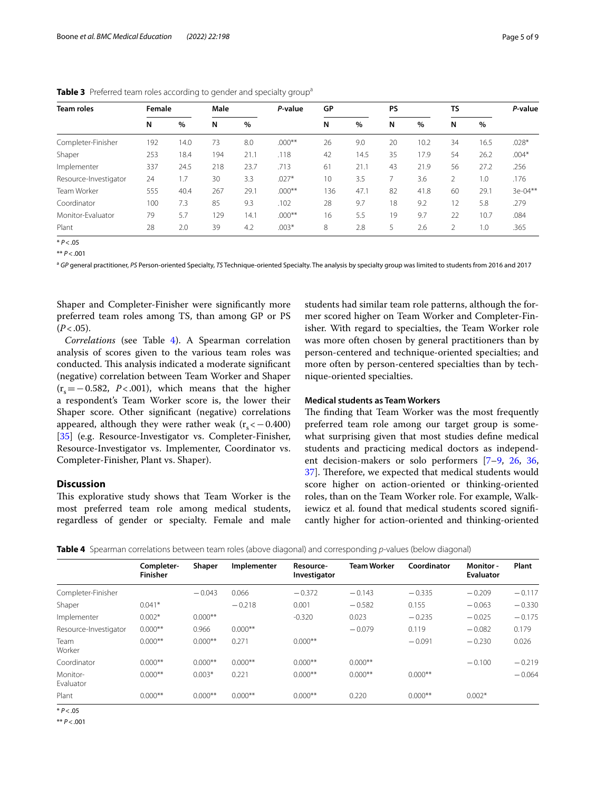| <b>Team roles</b>     | Female |      | Male |      | P-value  | GP  |      | PS |      | TS |      | P-value   |
|-----------------------|--------|------|------|------|----------|-----|------|----|------|----|------|-----------|
|                       | N      | %    | N    | $\%$ |          | N   | $\%$ | N  | %    | N  | $\%$ |           |
| Completer-Finisher    | 192    | 14.0 | 73   | 8.0  | $.000**$ | 26  | 9.0  | 20 | 10.2 | 34 | 16.5 | $.028*$   |
| Shaper                | 253    | 18.4 | 194  | 21.1 | .118     | 42  | 14.5 | 35 | 17.9 | 54 | 26.2 | $.004*$   |
| Implementer           | 337    | 24.5 | 218  | 23.7 | .713     | 61  | 21.1 | 43 | 21.9 | 56 | 27.2 | .256      |
| Resource-Investigator | 24     | 1.7  | 30   | 3.3  | $.027*$  | 10  | 3.5  |    | 3.6  | 2  | 1.0  | .176      |
| Team Worker           | 555    | 40.4 | 267  | 29.1 | $.000**$ | 136 | 47.1 | 82 | 41.8 | 60 | 29.1 | $3e-04**$ |
| Coordinator           | 100    | 7.3  | 85   | 9.3  | .102     | 28  | 9.7  | 18 | 9.2  | 12 | 5.8  | .279      |
| Monitor-Evaluator     | 79     | 5.7  | 129  | 14.1 | $.000**$ | 16  | 5.5  | 19 | 9.7  | 22 | 10.7 | .084      |
| Plant                 | 28     | 2.0  | 39   | 4.2  | $.003*$  | 8   | 2.8  | 5  | 2.6  | 2  | 1.0  | .365      |

<span id="page-4-0"></span>**Table 3** Preferred team roles according to gender and specialty group<sup>a</sup>

\* *P*<.05

 $*$  *P* < 001

a GP general practitioner, PS Person-oriented Specialty, TS Technique-oriented Specialty. The analysis by specialty group was limited to students from 2016 and 2017

Shaper and Completer-Finisher were signifcantly more preferred team roles among TS, than among GP or PS  $(P < .05)$ .

*Correlations* (see Table [4](#page-4-1)). A Spearman correlation analysis of scores given to the various team roles was conducted. This analysis indicated a moderate significant (negative) correlation between Team Worker and Shaper  $(r_s=-0.582, P<0.001)$ , which means that the higher a respondent's Team Worker score is, the lower their Shaper score. Other signifcant (negative) correlations appeared, although they were rather weak  $(r_s < -0.400)$ [[35\]](#page-8-7) (e.g. Resource-Investigator vs. Completer-Finisher, Resource-Investigator vs. Implementer, Coordinator vs. Completer-Finisher, Plant vs. Shaper).

#### **Discussion**

This explorative study shows that Team Worker is the most preferred team role among medical students, regardless of gender or specialty. Female and male

students had similar team role patterns, although the former scored higher on Team Worker and Completer-Finisher. With regard to specialties, the Team Worker role was more often chosen by general practitioners than by person-centered and technique-oriented specialties; and more often by person-centered specialties than by technique-oriented specialties.

#### **Medical students as Team Workers**

The finding that Team Worker was the most frequently preferred team role among our target group is somewhat surprising given that most studies defne medical students and practicing medical doctors as independent decision-makers or solo performers [[7–](#page-7-6)[9,](#page-7-7) [26](#page-7-22), [36](#page-8-8), [37\]](#page-8-9). Therefore, we expected that medical students would score higher on action-oriented or thinking-oriented roles, than on the Team Worker role. For example, Walkiewicz et al. found that medical students scored signifcantly higher for action-oriented and thinking-oriented

<span id="page-4-1"></span>**Table 4** Spearman correlations between team roles (above diagonal) and corresponding *p*-values (below diagonal)

|                       | Completer-<br><b>Finisher</b> | Shaper    | Implementer | Resource-<br>Investigator | <b>Team Worker</b> | Coordinator | Monitor -<br><b>Evaluator</b> | Plant    |
|-----------------------|-------------------------------|-----------|-------------|---------------------------|--------------------|-------------|-------------------------------|----------|
| Completer-Finisher    |                               | $-0.043$  | 0.066       | $-0.372$                  | $-0.143$           | $-0.335$    | $-0.209$                      | $-0.117$ |
| Shaper                | $0.041*$                      |           | $-0.218$    | 0.001                     | $-0.582$           | 0.155       | $-0.063$                      | $-0.330$ |
| Implementer           | $0.002*$                      | $0.000**$ |             | $-0.320$                  | 0.023              | $-0.235$    | $-0.025$                      | $-0.175$ |
| Resource-Investigator | $0.000**$                     | 0.966     | $0.000**$   |                           | $-0.079$           | 0.119       | $-0.082$                      | 0.179    |
| Team<br>Worker        | $0.000**$                     | $0.000**$ | 0.271       | $0.000**$                 |                    | $-0.091$    | $-0.230$                      | 0.026    |
| Coordinator           | $0.000**$                     | $0.000**$ | $0.000**$   | $0.000**$                 | $0.000**$          |             | $-0.100$                      | $-0.219$ |
| Monitor-<br>Evaluator | $0.000**$                     | $0.003*$  | 0.221       | $0.000**$                 | $0.000**$          | $0.000**$   |                               | $-0.064$ |
| Plant                 | $0.000**$                     | $0.000**$ | $0.000**$   | $0.000**$                 | 0.220              | $0.000**$   | $0.002*$                      |          |

\* *P*<.05

\*\* *P*<.001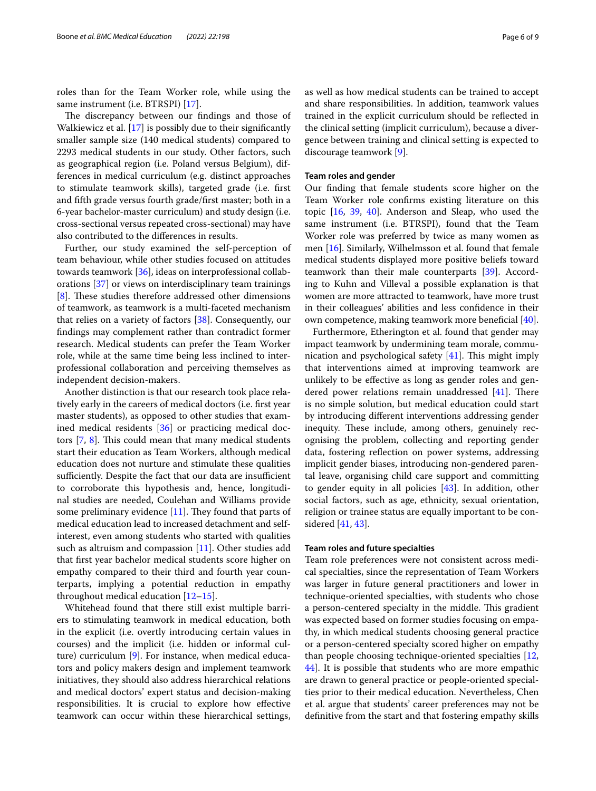roles than for the Team Worker role, while using the same instrument (i.e. BTRSPI) [\[17\]](#page-7-12).

The discrepancy between our findings and those of Walkiewicz et al. [\[17](#page-7-12)] is possibly due to their signifcantly smaller sample size (140 medical students) compared to 2293 medical students in our study. Other factors, such as geographical region (i.e. Poland versus Belgium), differences in medical curriculum (e.g. distinct approaches to stimulate teamwork skills), targeted grade (i.e. frst and ffth grade versus fourth grade/frst master; both in a 6-year bachelor-master curriculum) and study design (i.e. cross-sectional versus repeated cross-sectional) may have also contributed to the diferences in results.

Further, our study examined the self-perception of team behaviour, while other studies focused on attitudes towards teamwork [\[36\]](#page-8-8), ideas on interprofessional collaborations [\[37\]](#page-8-9) or views on interdisciplinary team trainings [[8\]](#page-7-13). These studies therefore addressed other dimensions of teamwork, as teamwork is a multi-faceted mechanism that relies on a variety of factors [\[38\]](#page-8-10). Consequently, our fndings may complement rather than contradict former research. Medical students can prefer the Team Worker role, while at the same time being less inclined to interprofessional collaboration and perceiving themselves as independent decision-makers.

Another distinction is that our research took place relatively early in the careers of medical doctors (i.e. frst year master students), as opposed to other studies that examined medical residents [[36\]](#page-8-8) or practicing medical doctors  $[7, 8]$  $[7, 8]$  $[7, 8]$  $[7, 8]$  $[7, 8]$ . This could mean that many medical students start their education as Team Workers, although medical education does not nurture and stimulate these qualities sufficiently. Despite the fact that our data are insufficient to corroborate this hypothesis and, hence, longitudinal studies are needed, Coulehan and Williams provide some preliminary evidence  $[11]$ . They found that parts of medical education lead to increased detachment and selfinterest, even among students who started with qualities such as altruism and compassion [[11\]](#page-7-9). Other studies add that frst year bachelor medical students score higher on empathy compared to their third and fourth year counterparts, implying a potential reduction in empathy throughout medical education [\[12](#page-7-14)[–15\]](#page-7-10).

Whitehead found that there still exist multiple barriers to stimulating teamwork in medical education, both in the explicit (i.e. overtly introducing certain values in courses) and the implicit (i.e. hidden or informal culture) curriculum [\[9](#page-7-7)]. For instance, when medical educators and policy makers design and implement teamwork initiatives, they should also address hierarchical relations and medical doctors' expert status and decision-making responsibilities. It is crucial to explore how efective teamwork can occur within these hierarchical settings,

as well as how medical students can be trained to accept and share responsibilities. In addition, teamwork values trained in the explicit curriculum should be refected in the clinical setting (implicit curriculum), because a divergence between training and clinical setting is expected to discourage teamwork [[9](#page-7-7)].

#### **Team roles and gender**

Our fnding that female students score higher on the Team Worker role confrms existing literature on this topic [\[16](#page-7-11), [39,](#page-8-11) [40](#page-8-12)]. Anderson and Sleap, who used the same instrument (i.e. BTRSPI), found that the Team Worker role was preferred by twice as many women as men [[16\]](#page-7-11). Similarly, Wilhelmsson et al. found that female medical students displayed more positive beliefs toward teamwork than their male counterparts [[39\]](#page-8-11). According to Kuhn and Villeval a possible explanation is that women are more attracted to teamwork, have more trust in their colleagues' abilities and less confdence in their own competence, making teamwork more benefcial [\[40](#page-8-12)].

Furthermore, Etherington et al. found that gender may impact teamwork by undermining team morale, communication and psychological safety  $[41]$  $[41]$  $[41]$ . This might imply that interventions aimed at improving teamwork are unlikely to be efective as long as gender roles and gendered power relations remain unaddressed  $[41]$  $[41]$ . There is no simple solution, but medical education could start by introducing diferent interventions addressing gender inequity. These include, among others, genuinely recognising the problem, collecting and reporting gender data, fostering reflection on power systems, addressing implicit gender biases, introducing non-gendered parental leave, organising child care support and committing to gender equity in all policies [[43\]](#page-8-14). In addition, other social factors, such as age, ethnicity, sexual orientation, religion or trainee status are equally important to be considered [[41,](#page-8-13) [43](#page-8-14)].

#### **Team roles and future specialties**

Team role preferences were not consistent across medical specialties, since the representation of Team Workers was larger in future general practitioners and lower in technique-oriented specialties, with students who chose a person-centered specialty in the middle. This gradient was expected based on former studies focusing on empathy, in which medical students choosing general practice or a person-centered specialty scored higher on empathy than people choosing technique-oriented specialties [[12](#page-7-14), [44\]](#page-8-15). It is possible that students who are more empathic are drawn to general practice or people-oriented specialties prior to their medical education. Nevertheless, Chen et al. argue that students' career preferences may not be defnitive from the start and that fostering empathy skills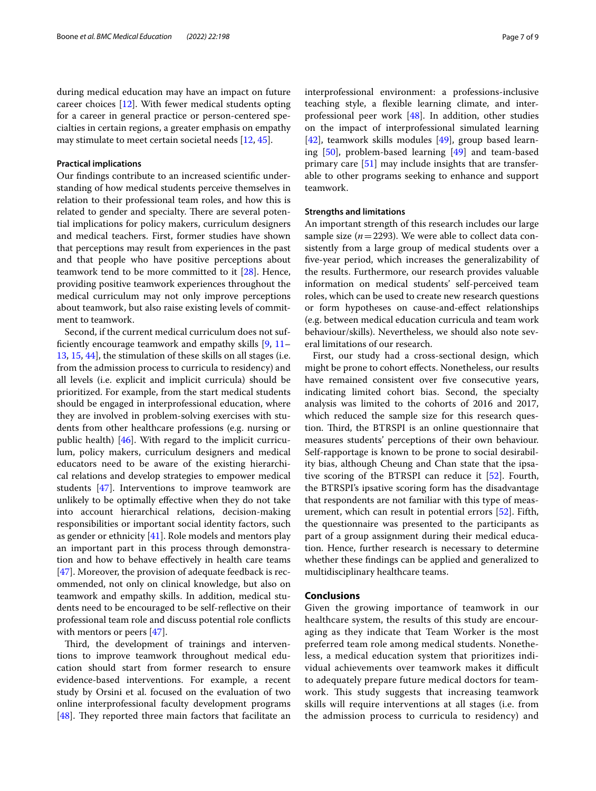during medical education may have an impact on future career choices [\[12\]](#page-7-14). With fewer medical students opting for a career in general practice or person-centered specialties in certain regions, a greater emphasis on empathy may stimulate to meet certain societal needs [\[12,](#page-7-14) [45](#page-8-16)].

#### **Practical implications**

Our fndings contribute to an increased scientifc understanding of how medical students perceive themselves in relation to their professional team roles, and how this is related to gender and specialty. There are several potential implications for policy makers, curriculum designers and medical teachers. First, former studies have shown that perceptions may result from experiences in the past and that people who have positive perceptions about teamwork tend to be more committed to it [[28](#page-8-0)]. Hence, providing positive teamwork experiences throughout the medical curriculum may not only improve perceptions about teamwork, but also raise existing levels of commitment to teamwork.

Second, if the current medical curriculum does not suffciently encourage teamwork and empathy skills [[9,](#page-7-7) [11–](#page-7-9) [13,](#page-7-24) [15,](#page-7-10) [44](#page-8-15)], the stimulation of these skills on all stages (i.e. from the admission process to curricula to residency) and all levels (i.e. explicit and implicit curricula) should be prioritized. For example, from the start medical students should be engaged in interprofessional education, where they are involved in problem-solving exercises with students from other healthcare professions (e.g. nursing or public health) [[46\]](#page-8-17). With regard to the implicit curriculum, policy makers, curriculum designers and medical educators need to be aware of the existing hierarchical relations and develop strategies to empower medical students [\[47](#page-8-18)]. Interventions to improve teamwork are unlikely to be optimally efective when they do not take into account hierarchical relations, decision-making responsibilities or important social identity factors, such as gender or ethnicity [\[41](#page-8-13)]. Role models and mentors play an important part in this process through demonstration and how to behave efectively in health care teams [[47\]](#page-8-18). Moreover, the provision of adequate feedback is recommended, not only on clinical knowledge, but also on teamwork and empathy skills. In addition, medical students need to be encouraged to be self-refective on their professional team role and discuss potential role conficts with mentors or peers [\[47](#page-8-18)].

Third, the development of trainings and interventions to improve teamwork throughout medical education should start from former research to ensure evidence-based interventions. For example, a recent study by Orsini et al. focused on the evaluation of two online interprofessional faculty development programs [[48\]](#page-8-19). They reported three main factors that facilitate an interprofessional environment: a professions-inclusive teaching style, a fexible learning climate, and interprofessional peer work [[48\]](#page-8-19). In addition, other studies on the impact of interprofessional simulated learning [[42\]](#page-8-20), teamwork skills modules [[49\]](#page-8-21), group based learning [\[50](#page-8-22)], problem-based learning [\[49](#page-8-21)] and team-based primary care [\[51](#page-8-23)] may include insights that are transferable to other programs seeking to enhance and support teamwork.

#### **Strengths and limitations**

An important strength of this research includes our large sample size (*n*=2293). We were able to collect data consistently from a large group of medical students over a fve-year period, which increases the generalizability of the results. Furthermore, our research provides valuable information on medical students' self-perceived team roles, which can be used to create new research questions or form hypotheses on cause-and-efect relationships (e.g. between medical education curricula and team work behaviour/skills). Nevertheless, we should also note several limitations of our research.

First, our study had a cross-sectional design, which might be prone to cohort efects. Nonetheless, our results have remained consistent over five consecutive years, indicating limited cohort bias. Second, the specialty analysis was limited to the cohorts of 2016 and 2017, which reduced the sample size for this research question. Third, the BTRSPI is an online questionnaire that measures students' perceptions of their own behaviour. Self-rapportage is known to be prone to social desirability bias, although Cheung and Chan state that the ipsative scoring of the BTRSPI can reduce it [[52\]](#page-8-24). Fourth, the BTRSPI's ipsative scoring form has the disadvantage that respondents are not familiar with this type of measurement, which can result in potential errors [[52\]](#page-8-24). Fifth, the questionnaire was presented to the participants as part of a group assignment during their medical education. Hence, further research is necessary to determine whether these fndings can be applied and generalized to multidisciplinary healthcare teams.

#### **Conclusions**

Given the growing importance of teamwork in our healthcare system, the results of this study are encouraging as they indicate that Team Worker is the most preferred team role among medical students. Nonetheless, a medical education system that prioritizes individual achievements over teamwork makes it difficult to adequately prepare future medical doctors for teamwork. This study suggests that increasing teamwork skills will require interventions at all stages (i.e. from the admission process to curricula to residency) and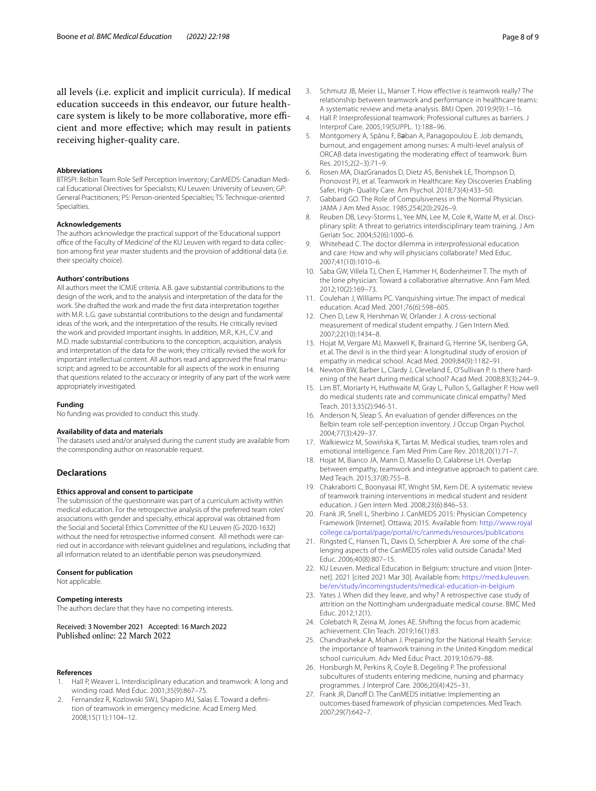all levels (i.e. explicit and implicit curricula). If medical education succeeds in this endeavor, our future healthcare system is likely to be more collaborative, more efficient and more efective; which may result in patients receiving higher-quality care.

#### **Abbreviations**

BTRSPI: Belbin Team Role Self Perception Inventory; CanMEDS: Canadian Medical Educational Directives for Specialists; KU Leuven: University of Leuven; GP: General Practitioners; PS: Person-oriented Specialties; TS: Technique-oriented Specialties.

#### **Acknowledgements**

The authors acknowledge the practical support of the 'Educational support office of the Faculty of Medicine' of the KU Leuven with regard to data collection among frst year master students and the provision of additional data (i.e. their specialty choice).

#### **Authors' contributions**

All authors meet the ICMJE criteria. A.B. gave substantial contributions to the design of the work, and to the analysis and interpretation of the data for the work. She drafted the work and made the frst data interpretation together with M.R. L.G. gave substantial contributions to the design and fundamental ideas of the work, and the interpretation of the results. He critically revised the work and provided important insights. In addition, M.R., K.H., C.V. and M.D. made substantial contributions to the conception, acquisition, analysis and interpretation of the data for the work; they critically revised the work for important intellectual content. All authors read and approved the fnal manuscript; and agreed to be accountable for all aspects of the work in ensuring that questions related to the accuracy or integrity of any part of the work were appropriately investigated.

#### **Funding**

No funding was provided to conduct this study.

#### **Availability of data and materials**

The datasets used and/or analysed during the current study are available from the corresponding author on reasonable request.

#### **Declarations**

#### **Ethics approval and consent to participate**

The submission of the questionnaire was part of a curriculum activity within medical education. For the retrospective analysis of the preferred team roles' associations with gender and specialty, ethical approval was obtained from the Social and Societal Ethics Committee of the KU Leuven (G-2020-1632) without the need for retrospective informed consent. All methods were carried out in accordance with relevant guidelines and regulations, including that all information related to an identifable person was pseudonymized.

#### **Consent for publication**

Not applicable.

#### **Competing interests**

The authors declare that they have no competing interests.

## Received: 3 November 2021 Accepted: 16 March 2022

#### **References**

- <span id="page-7-0"></span>1. Hall P, Weaver L. Interdisciplinary education and teamwork: A long and winding road. Med Educ. 2001;35(9):867–75.
- <span id="page-7-1"></span>2. Fernandez R, Kozlowski SWJ, Shapiro MJ, Salas E. Toward a defnition of teamwork in emergency medicine. Acad Emerg Med. 2008;15(11):1104–12.
- <span id="page-7-2"></span>3. Schmutz JB, Meier LL, Manser T. How efective is teamwork really? The relationship between teamwork and performance in healthcare teams: A systematic review and meta-analysis. BMJ Open. 2019;9(9):1–16.
- <span id="page-7-3"></span>4. Hall P. Interprofessional teamwork: Professional cultures as barriers. J Interprof Care. 2005;19(SUPPL. 1):188–96.
- <span id="page-7-4"></span>5. Montgomery A, Spânu F, Bəban A, Panagopoulou E. Job demands, burnout, and engagement among nurses: A multi-level analysis of ORCAB data investigating the moderating efect of teamwork. Burn Res. 2015;2(2–3):71–9.
- <span id="page-7-5"></span>6. Rosen MA, DiazGranados D, Dietz AS, Benishek LE, Thompson D, Pronovost PJ, et al. Teamwork in Healthcare: Key Discoveries Enabling Safer, High- Quality Care. Am Psychol. 2018;73(4):433–50.
- <span id="page-7-6"></span>7. Gabbard GO. The Role of Compulsiveness in the Normal Physician. JAMA J Am Med Assoc. 1985;254(20):2926–9.
- <span id="page-7-13"></span>8. Reuben DB, Levy-Storms L, Yee MN, Lee M, Cole K, Waite M, et al. Disciplinary split: A threat to geriatrics interdisciplinary team training. J Am Geriatr Soc. 2004;52(6):1000–6.
- <span id="page-7-7"></span>9. Whitehead C. The doctor dilemma in interprofessional education and care: How and why will physicians collaborate? Med Educ. 2007;41(10):1010–6.
- <span id="page-7-8"></span>10. Saba GW, Villela TJ, Chen E, Hammer H, Bodenheimer T. The myth of the lone physician: Toward a collaborative alternative. Ann Fam Med. 2012;10(2):169–73.
- <span id="page-7-9"></span>11. Coulehan J, Williams PC. Vanquishing virtue: The impact of medical education. Acad Med. 2001;76(6):598–605.
- <span id="page-7-14"></span>12. Chen D, Lew R, Hershman W, Orlander J. A cross-sectional measurement of medical student empathy. J Gen Intern Med. 2007;22(10):1434–8.
- <span id="page-7-24"></span>13. Hojat M, Vergare MJ, Maxwell K, Brainard G, Herrine SK, Isenberg GA, et al. The devil is in the third year: A longitudinal study of erosion of empathy in medical school. Acad Med. 2009;84(9):1182–91.
- 14. Newton BW, Barber L, Clardy J, Cleveland E, O'Sullivan P. Is there hardening of the heart during medical school? Acad Med. 2008;83(3):244–9.
- <span id="page-7-10"></span>15. Lim BT, Moriarty H, Huthwaite M, Gray L, Pullon S, Gallagher P. How well do medical students rate and communicate clinical empathy? Med Teach. 2013;35(2):946-51.
- <span id="page-7-11"></span>16. Anderson N, Sleap S. An evaluation of gender differences on the Belbin team role self-perception inventory. J Occup Organ Psychol. 2004;77(3):429–37.
- <span id="page-7-12"></span>17. Walkiewicz M, Sowińska K, Tartas M. Medical studies, team roles and emotional intelligence. Fam Med Prim Care Rev. 2018;20(1):71–7.
- <span id="page-7-15"></span>18. Hojat M, Bianco JA, Mann D, Massello D, Calabrese LH. Overlap between empathy, teamwork and integrative approach to patient care. Med Teach. 2015;37(8):755–8.
- <span id="page-7-16"></span>19. Chakraborti C, Boonyasai RT, Wright SM, Kern DE. A systematic review of teamwork training interventions in medical student and resident education. J Gen Intern Med. 2008;23(6):846–53.
- <span id="page-7-17"></span>20. Frank JR, Snell L, Sherbino J. CanMEDS 2015: Physician Competency Framework [Internet]. Ottawa; 2015. Available from: [http://www.royal](http://www.royalcollege.ca/portal/page/portal/rc/canmeds/resources/publications) [college.ca/portal/page/portal/rc/canmeds/resources/publications](http://www.royalcollege.ca/portal/page/portal/rc/canmeds/resources/publications)
- <span id="page-7-18"></span>21. Ringsted C, Hansen TL, Davis D, Scherpbier A. Are some of the challenging aspects of the CanMEDS roles valid outside Canada? Med Educ. 2006;40(8):807–15.
- <span id="page-7-19"></span>22. KU Leuven. Medical Education in Belgium: structure and vision [Internet]. 2021 [cited 2021 Mar 30]. Available from: [https://med.kuleuven.](https://med.kuleuven.be/en/study/incomingstudents/medical-education-in-belgium) [be/en/study/incomingstudents/medical-education-in-belgium](https://med.kuleuven.be/en/study/incomingstudents/medical-education-in-belgium)
- <span id="page-7-20"></span>23. Yates J. When did they leave, and why? A retrospective case study of attrition on the Nottingham undergraduate medical course. BMC Med Educ. 2012;12(1).
- 24. Colebatch R, Zeina M, Jones AE. Shifting the focus from academic achievement. Clin Teach. 2019;16(1):83.
- <span id="page-7-21"></span>25. Chandrashekar A, Mohan J. Preparing for the National Health Service: the importance of teamwork training in the United Kingdom medical school curriculum. Adv Med Educ Pract. 2019;10:679–88.
- <span id="page-7-22"></span>26. Horsburgh M, Perkins R, Coyle B, Degeling P. The professional subcultures of students entering medicine, nursing and pharmacy programmes. J Interprof Care. 2006;20(4):425–31.
- <span id="page-7-23"></span>27. Frank JR, Danoff D. The CanMEDS initiative: Implementing an outcomes-based framework of physician competencies. Med Teach. 2007;29(7):642–7.